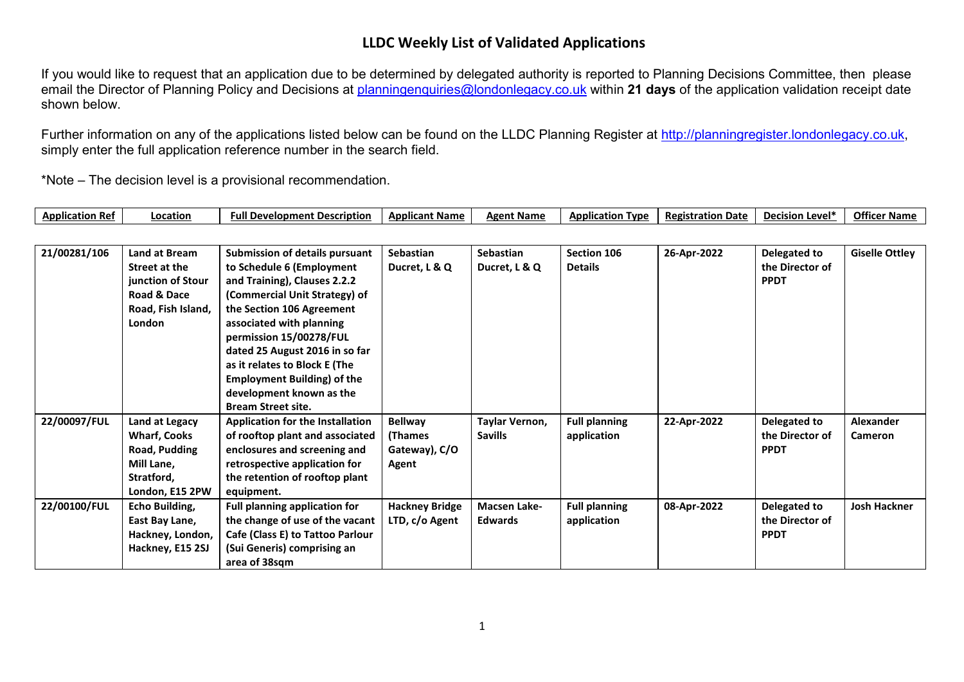If you would like to request that an application due to be determined by delegated authority is reported to Planning Decisions Committee, then please email the Director of Planning Policy and Decisions at [planningenquiries@londonlegacy.co.uk](mailto:planningenquiries@londonlegacy.co.uk) within **21 days** of the application validation receipt date shown below.

Further information on any of the applications listed below can be found on the LLDC Planning Register at [http://planningregister.londonlegacy.co.uk,](http://planningregister.londonlegacy.co.uk/) simply enter the full application reference number in the search field.

| Application<br>⊦Ref | .ocation | Full Development Description | <b>Applicant Name</b> | <b>Agent Name</b> | <b>Application Type</b> | <b>Registration Date</b><br>. | a Level*<br>Decision | <b>Officer</b><br>∵or Name |
|---------------------|----------|------------------------------|-----------------------|-------------------|-------------------------|-------------------------------|----------------------|----------------------------|
|---------------------|----------|------------------------------|-----------------------|-------------------|-------------------------|-------------------------------|----------------------|----------------------------|

| 21/00281/106 | Land at Bream       | <b>Submission of details pursuant</b>   | <b>Sebastian</b>      | <b>Sebastian</b>    | Section 106          | 26-Apr-2022 | Delegated to    | <b>Giselle Ottley</b> |
|--------------|---------------------|-----------------------------------------|-----------------------|---------------------|----------------------|-------------|-----------------|-----------------------|
|              | Street at the       | to Schedule 6 (Employment               | Ducret, L & Q         | Ducret, L & Q       | <b>Details</b>       |             | the Director of |                       |
|              | junction of Stour   | and Training), Clauses 2.2.2            |                       |                     |                      |             | <b>PPDT</b>     |                       |
|              | Road & Dace         | (Commercial Unit Strategy) of           |                       |                     |                      |             |                 |                       |
|              | Road, Fish Island,  | the Section 106 Agreement               |                       |                     |                      |             |                 |                       |
|              | <b>London</b>       | associated with planning                |                       |                     |                      |             |                 |                       |
|              |                     | permission 15/00278/FUL                 |                       |                     |                      |             |                 |                       |
|              |                     | dated 25 August 2016 in so far          |                       |                     |                      |             |                 |                       |
|              |                     | as it relates to Block E (The           |                       |                     |                      |             |                 |                       |
|              |                     | <b>Employment Building) of the</b>      |                       |                     |                      |             |                 |                       |
|              |                     | development known as the                |                       |                     |                      |             |                 |                       |
|              |                     | <b>Bream Street site.</b>               |                       |                     |                      |             |                 |                       |
| 22/00097/FUL | Land at Legacy      | <b>Application for the Installation</b> | <b>Bellway</b>        | Taylar Vernon,      | <b>Full planning</b> | 22-Apr-2022 | Delegated to    | <b>Alexander</b>      |
|              | <b>Wharf, Cooks</b> | of rooftop plant and associated         | <b>(Thames</b>        | <b>Savills</b>      | application          |             | the Director of | Cameron               |
|              | Road, Pudding       | enclosures and screening and            | Gateway), C/O         |                     |                      |             | <b>PPDT</b>     |                       |
|              | Mill Lane,          | retrospective application for           | Agent                 |                     |                      |             |                 |                       |
|              | Stratford,          | the retention of rooftop plant          |                       |                     |                      |             |                 |                       |
|              | London, E15 2PW     | equipment.                              |                       |                     |                      |             |                 |                       |
| 22/00100/FUL | Echo Building,      | <b>Full planning application for</b>    | <b>Hackney Bridge</b> | <b>Macsen Lake-</b> | <b>Full planning</b> | 08-Apr-2022 | Delegated to    | <b>Josh Hackner</b>   |
|              | East Bay Lane,      | the change of use of the vacant         | LTD, c/o Agent        | <b>Edwards</b>      | application          |             | the Director of |                       |
|              | Hackney, London,    | Cafe (Class E) to Tattoo Parlour        |                       |                     |                      |             | <b>PPDT</b>     |                       |
|              | Hackney, E15 2SJ    | (Sui Generis) comprising an             |                       |                     |                      |             |                 |                       |
|              |                     | area of 38sqm                           |                       |                     |                      |             |                 |                       |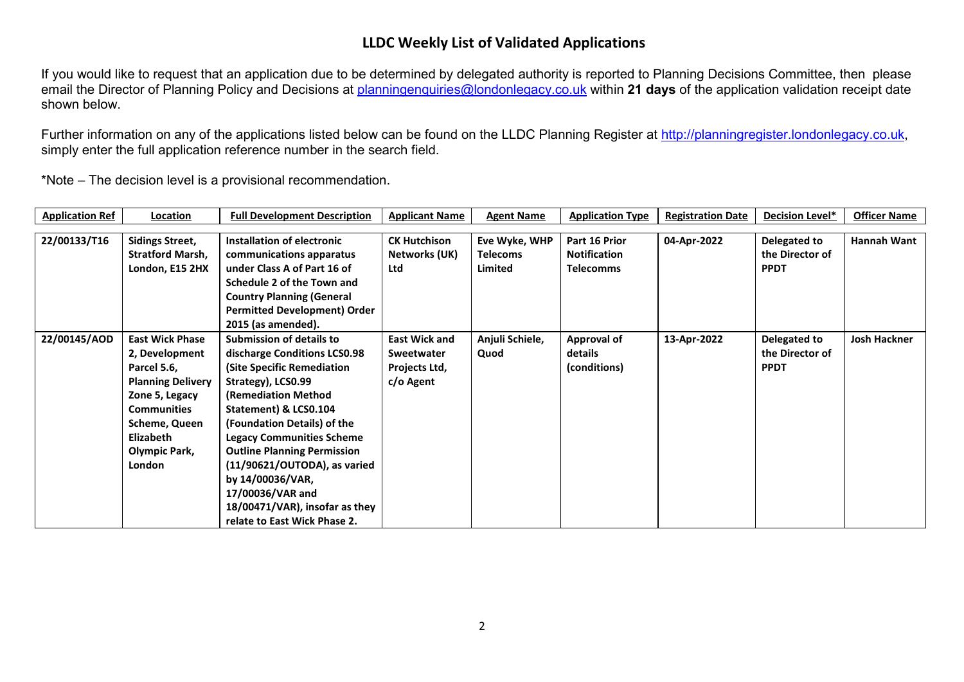If you would like to request that an application due to be determined by delegated authority is reported to Planning Decisions Committee, then please email the Director of Planning Policy and Decisions at [planningenquiries@londonlegacy.co.uk](mailto:planningenquiries@londonlegacy.co.uk) within **21 days** of the application validation receipt date shown below.

Further information on any of the applications listed below can be found on the LLDC Planning Register at [http://planningregister.londonlegacy.co.uk,](http://planningregister.londonlegacy.co.uk/) simply enter the full application reference number in the search field.

| <b>Application Ref</b> | Location                 | <b>Full Development Description</b> | <b>Applicant Name</b> | <b>Agent Name</b> | <b>Application Type</b> | <b>Registration Date</b> | Decision Level* | <b>Officer Name</b> |
|------------------------|--------------------------|-------------------------------------|-----------------------|-------------------|-------------------------|--------------------------|-----------------|---------------------|
|                        |                          |                                     |                       |                   |                         |                          |                 |                     |
| 22/00133/T16           | <b>Sidings Street,</b>   | Installation of electronic          | <b>CK Hutchison</b>   | Eve Wyke, WHP     | Part 16 Prior           | 04-Apr-2022              | Delegated to    | <b>Hannah Want</b>  |
|                        | <b>Stratford Marsh,</b>  | communications apparatus            | Networks (UK)         | <b>Telecoms</b>   | <b>Notification</b>     |                          | the Director of |                     |
|                        | London, E15 2HX          | under Class A of Part 16 of         | Ltd                   | Limited           | <b>Telecomms</b>        |                          | <b>PPDT</b>     |                     |
|                        |                          | Schedule 2 of the Town and          |                       |                   |                         |                          |                 |                     |
|                        |                          | <b>Country Planning (General</b>    |                       |                   |                         |                          |                 |                     |
|                        |                          | <b>Permitted Development) Order</b> |                       |                   |                         |                          |                 |                     |
|                        |                          | 2015 (as amended).                  |                       |                   |                         |                          |                 |                     |
| 22/00145/AOD           | <b>East Wick Phase</b>   | <b>Submission of details to</b>     | <b>East Wick and</b>  | Anjuli Schiele,   | <b>Approval of</b>      | 13-Apr-2022              | Delegated to    | <b>Josh Hackner</b> |
|                        | 2, Development           | discharge Conditions LCS0.98        | <b>Sweetwater</b>     | Quod              | details                 |                          | the Director of |                     |
|                        | Parcel 5.6,              | (Site Specific Remediation          | Projects Ltd,         |                   | (conditions)            |                          | <b>PPDT</b>     |                     |
|                        | <b>Planning Delivery</b> | Strategy), LCS0.99                  | c/o Agent             |                   |                         |                          |                 |                     |
|                        | Zone 5, Legacy           | <b>(Remediation Method)</b>         |                       |                   |                         |                          |                 |                     |
|                        | <b>Communities</b>       | Statement) & LCS0.104               |                       |                   |                         |                          |                 |                     |
|                        | Scheme, Queen            | (Foundation Details) of the         |                       |                   |                         |                          |                 |                     |
|                        | <b>Elizabeth</b>         | <b>Legacy Communities Scheme</b>    |                       |                   |                         |                          |                 |                     |
|                        | Olympic Park,            | <b>Outline Planning Permission</b>  |                       |                   |                         |                          |                 |                     |
|                        | <b>London</b>            | (11/90621/OUTODA), as varied        |                       |                   |                         |                          |                 |                     |
|                        |                          | by 14/00036/VAR,                    |                       |                   |                         |                          |                 |                     |
|                        |                          | 17/00036/VAR and                    |                       |                   |                         |                          |                 |                     |
|                        |                          | 18/00471/VAR), insofar as they      |                       |                   |                         |                          |                 |                     |
|                        |                          | relate to East Wick Phase 2.        |                       |                   |                         |                          |                 |                     |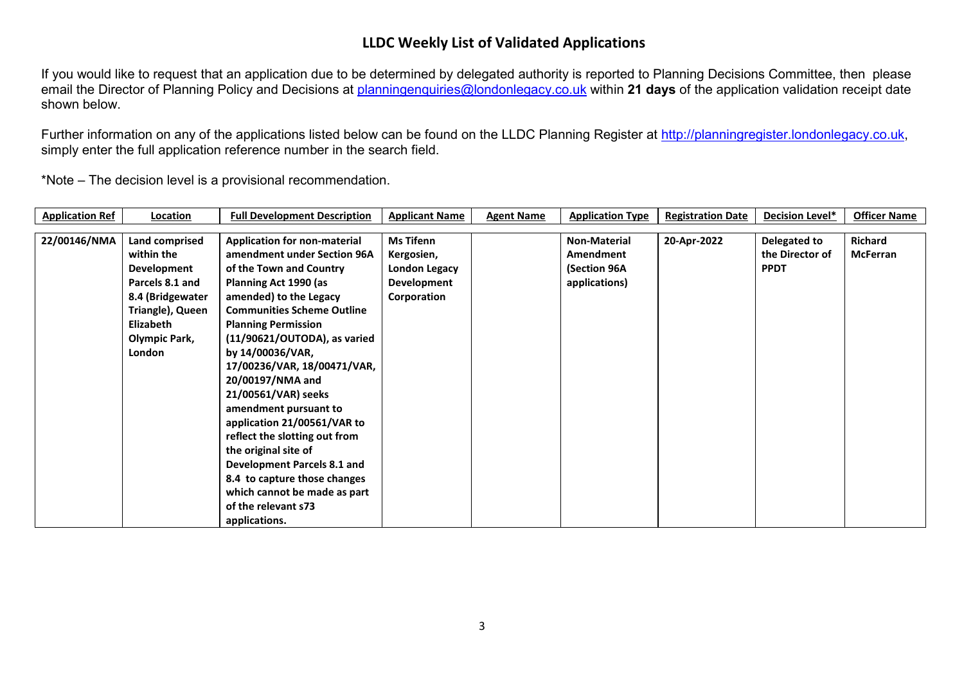If you would like to request that an application due to be determined by delegated authority is reported to Planning Decisions Committee, then please email the Director of Planning Policy and Decisions at [planningenquiries@londonlegacy.co.uk](mailto:planningenquiries@londonlegacy.co.uk) within **21 days** of the application validation receipt date shown below.

Further information on any of the applications listed below can be found on the LLDC Planning Register at [http://planningregister.londonlegacy.co.uk,](http://planningregister.londonlegacy.co.uk/) simply enter the full application reference number in the search field.

| <b>Application Ref</b> | Location         | <b>Full Development Description</b> | <b>Applicant Name</b> | <b>Agent Name</b> | <b>Application Type</b> | <b>Registration Date</b> | <b>Decision Level*</b> | <b>Officer Name</b> |
|------------------------|------------------|-------------------------------------|-----------------------|-------------------|-------------------------|--------------------------|------------------------|---------------------|
|                        |                  |                                     |                       |                   |                         |                          |                        |                     |
| 22/00146/NMA           | Land comprised   | <b>Application for non-material</b> | <b>Ms Tifenn</b>      |                   | Non-Material            | 20-Apr-2022              | Delegated to           | <b>Richard</b>      |
|                        | within the       | amendment under Section 96A         | Kergosien,            |                   | Amendment               |                          | the Director of        | <b>McFerran</b>     |
|                        | Development      | of the Town and Country             | <b>London Legacy</b>  |                   | (Section 96A            |                          | <b>PPDT</b>            |                     |
|                        | Parcels 8.1 and  | Planning Act 1990 (as               | Development           |                   | applications)           |                          |                        |                     |
|                        | 8.4 (Bridgewater | amended) to the Legacy              | Corporation           |                   |                         |                          |                        |                     |
|                        | Triangle), Queen | <b>Communities Scheme Outline</b>   |                       |                   |                         |                          |                        |                     |
|                        | Elizabeth        | <b>Planning Permission</b>          |                       |                   |                         |                          |                        |                     |
|                        | Olympic Park,    | $(11/90621/OUTODA)$ , as varied     |                       |                   |                         |                          |                        |                     |
|                        | <b>London</b>    | by 14/00036/VAR,                    |                       |                   |                         |                          |                        |                     |
|                        |                  | 17/00236/VAR, 18/00471/VAR,         |                       |                   |                         |                          |                        |                     |
|                        |                  | 20/00197/NMA and                    |                       |                   |                         |                          |                        |                     |
|                        |                  | 21/00561/VAR) seeks                 |                       |                   |                         |                          |                        |                     |
|                        |                  | amendment pursuant to               |                       |                   |                         |                          |                        |                     |
|                        |                  | application 21/00561/VAR to         |                       |                   |                         |                          |                        |                     |
|                        |                  | reflect the slotting out from       |                       |                   |                         |                          |                        |                     |
|                        |                  | the original site of                |                       |                   |                         |                          |                        |                     |
|                        |                  | Development Parcels 8.1 and         |                       |                   |                         |                          |                        |                     |
|                        |                  | 8.4 to capture those changes        |                       |                   |                         |                          |                        |                     |
|                        |                  | which cannot be made as part        |                       |                   |                         |                          |                        |                     |
|                        |                  | of the relevant s73                 |                       |                   |                         |                          |                        |                     |
|                        |                  | applications.                       |                       |                   |                         |                          |                        |                     |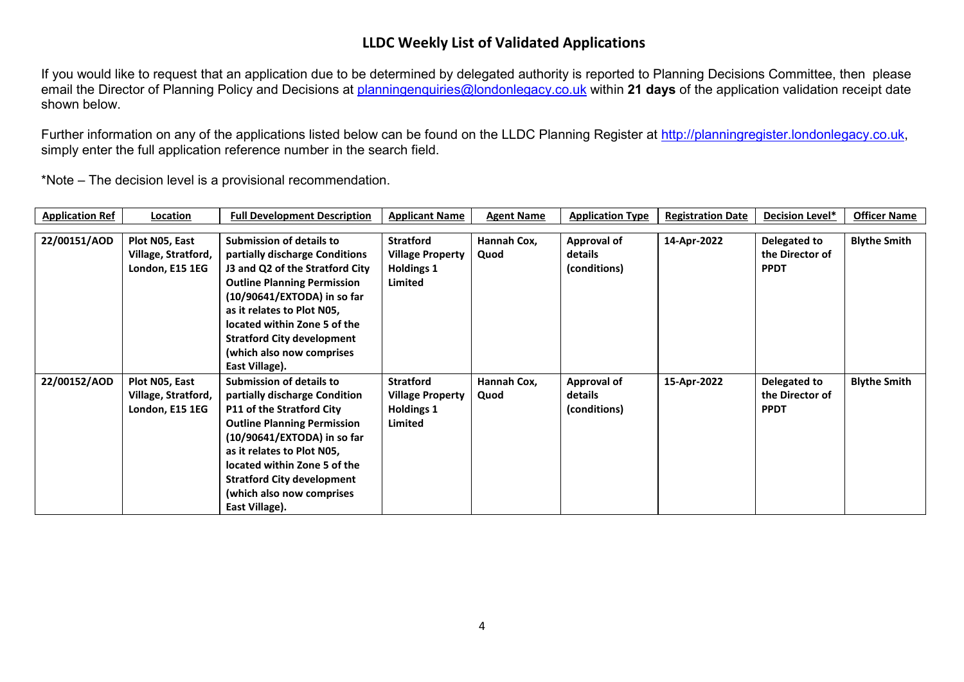If you would like to request that an application due to be determined by delegated authority is reported to Planning Decisions Committee, then please email the Director of Planning Policy and Decisions at [planningenquiries@londonlegacy.co.uk](mailto:planningenquiries@londonlegacy.co.uk) within **21 days** of the application validation receipt date shown below.

Further information on any of the applications listed below can be found on the LLDC Planning Register at [http://planningregister.londonlegacy.co.uk,](http://planningregister.londonlegacy.co.uk/) simply enter the full application reference number in the search field.

| <b>Application Ref</b> | Location            | <b>Full Development Description</b> | <b>Applicant Name</b>   | <b>Agent Name</b> | <b>Application Type</b> | <b>Registration Date</b> | Decision Level* | <b>Officer Name</b> |
|------------------------|---------------------|-------------------------------------|-------------------------|-------------------|-------------------------|--------------------------|-----------------|---------------------|
|                        |                     |                                     |                         |                   |                         |                          |                 |                     |
| 22/00151/AOD           | Plot N05, East      | <b>Submission of details to</b>     | <b>Stratford</b>        | Hannah Cox,       | Approval of             | 14-Apr-2022              | Delegated to    | <b>Blythe Smith</b> |
|                        | Village, Stratford, | partially discharge Conditions      | <b>Village Property</b> | Quod              | details                 |                          | the Director of |                     |
|                        | London, E15 1EG     | J3 and Q2 of the Stratford City     | <b>Holdings 1</b>       |                   | (conditions)            |                          | <b>PPDT</b>     |                     |
|                        |                     | <b>Outline Planning Permission</b>  | Limited                 |                   |                         |                          |                 |                     |
|                        |                     | $(10/90641/EXTODA)$ in so far       |                         |                   |                         |                          |                 |                     |
|                        |                     | as it relates to Plot N05,          |                         |                   |                         |                          |                 |                     |
|                        |                     | located within Zone 5 of the        |                         |                   |                         |                          |                 |                     |
|                        |                     | <b>Stratford City development</b>   |                         |                   |                         |                          |                 |                     |
|                        |                     | (which also now comprises           |                         |                   |                         |                          |                 |                     |
|                        |                     | East Village).                      |                         |                   |                         |                          |                 |                     |
| 22/00152/AOD           | Plot N05, East      | <b>Submission of details to</b>     | <b>Stratford</b>        | Hannah Cox,       | Approval of             | 15-Apr-2022              | Delegated to    | <b>Blythe Smith</b> |
|                        | Village, Stratford, | partially discharge Condition       | <b>Village Property</b> | Quod              | details                 |                          | the Director of |                     |
|                        | London, E15 1EG     | <b>P11 of the Stratford City</b>    | <b>Holdings 1</b>       |                   | (conditions)            |                          | <b>PPDT</b>     |                     |
|                        |                     | <b>Outline Planning Permission</b>  | Limited                 |                   |                         |                          |                 |                     |
|                        |                     | $(10/90641/EXTODA)$ in so far       |                         |                   |                         |                          |                 |                     |
|                        |                     | as it relates to Plot N05,          |                         |                   |                         |                          |                 |                     |
|                        |                     | located within Zone 5 of the        |                         |                   |                         |                          |                 |                     |
|                        |                     | <b>Stratford City development</b>   |                         |                   |                         |                          |                 |                     |
|                        |                     | (which also now comprises           |                         |                   |                         |                          |                 |                     |
|                        |                     | East Village).                      |                         |                   |                         |                          |                 |                     |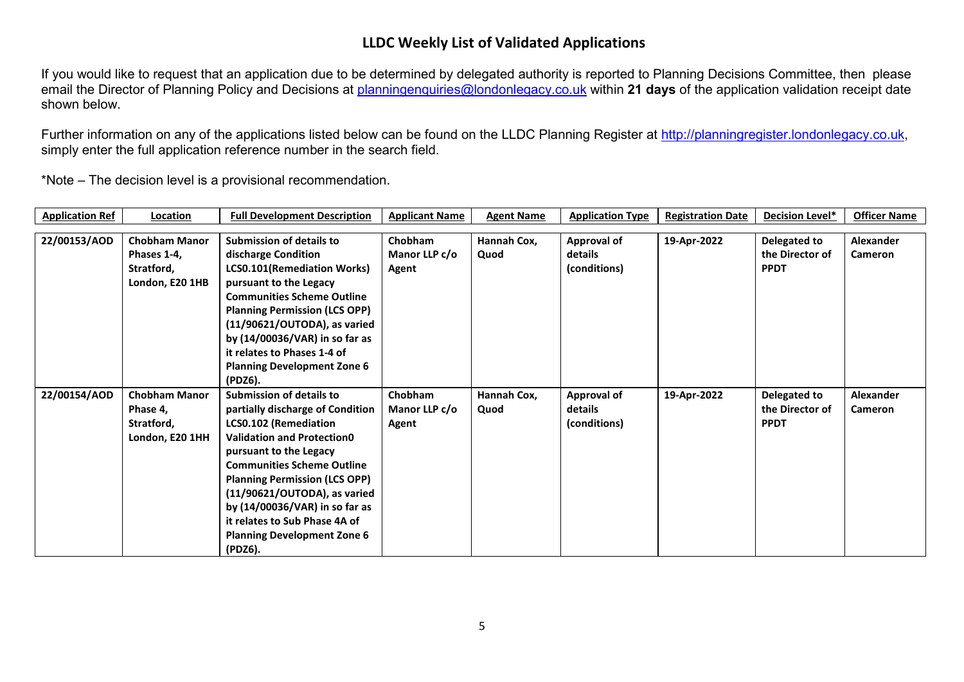If you would like to request that an application due to be determined by delegated authority is reported to Planning Decisions Committee, then please email the Director of Planning Policy and Decisions at [planningenquiries@londonlegacy.co.uk](mailto:planningenquiries@londonlegacy.co.uk) within **21 days** of the application validation receipt date shown below.

Further information on any of the applications listed below can be found on the LLDC Planning Register at [http://planningregister.londonlegacy.co.uk,](http://planningregister.londonlegacy.co.uk/) simply enter the full application reference number in the search field.

| <b>Application Ref</b> | Location             | <b>Full Development Description</b>  | <b>Applicant Name</b> | <b>Agent Name</b> | <b>Application Type</b> | <b>Registration Date</b> | Decision Level* | <b>Officer Name</b> |
|------------------------|----------------------|--------------------------------------|-----------------------|-------------------|-------------------------|--------------------------|-----------------|---------------------|
|                        |                      |                                      |                       |                   |                         |                          |                 |                     |
| 22/00153/AOD           | <b>Chobham Manor</b> | <b>Submission of details to</b>      | Chobham               | Hannah Cox,       | <b>Approval of</b>      | 19-Apr-2022              | Delegated to    | Alexander           |
|                        | Phases 1-4,          | discharge Condition                  | Manor LLP c/o         | Quod              | details                 |                          | the Director of | <b>Cameron</b>      |
|                        | Stratford,           | <b>LCS0.101(Remediation Works)</b>   | Agent                 |                   | (conditions)            |                          | <b>PPDT</b>     |                     |
|                        | London, E20 1HB      | pursuant to the Legacy               |                       |                   |                         |                          |                 |                     |
|                        |                      | <b>Communities Scheme Outline</b>    |                       |                   |                         |                          |                 |                     |
|                        |                      | <b>Planning Permission (LCS OPP)</b> |                       |                   |                         |                          |                 |                     |
|                        |                      | (11/90621/OUTODA), as varied         |                       |                   |                         |                          |                 |                     |
|                        |                      | by (14/00036/VAR) in so far as       |                       |                   |                         |                          |                 |                     |
|                        |                      | it relates to Phases 1-4 of          |                       |                   |                         |                          |                 |                     |
|                        |                      | <b>Planning Development Zone 6</b>   |                       |                   |                         |                          |                 |                     |
|                        |                      | (PDZ6).                              |                       |                   |                         |                          |                 |                     |
| 22/00154/AOD           | <b>Chobham Manor</b> | <b>Submission of details to</b>      | Chobham               | Hannah Cox,       | <b>Approval of</b>      | 19-Apr-2022              | Delegated to    | Alexander           |
|                        | Phase 4,             | partially discharge of Condition     | Manor LLP c/o         | Quod              | details                 |                          | the Director of | <b>Cameron</b>      |
|                        | Stratford,           | <b>LCS0.102 (Remediation</b>         | Agent                 |                   | (conditions)            |                          | <b>PPDT</b>     |                     |
|                        | London, E20 1HH      | <b>Validation and Protection0</b>    |                       |                   |                         |                          |                 |                     |
|                        |                      | pursuant to the Legacy               |                       |                   |                         |                          |                 |                     |
|                        |                      | <b>Communities Scheme Outline</b>    |                       |                   |                         |                          |                 |                     |
|                        |                      | <b>Planning Permission (LCS OPP)</b> |                       |                   |                         |                          |                 |                     |
|                        |                      | (11/90621/OUTODA), as varied         |                       |                   |                         |                          |                 |                     |
|                        |                      | by (14/00036/VAR) in so far as       |                       |                   |                         |                          |                 |                     |
|                        |                      | it relates to Sub Phase 4A of        |                       |                   |                         |                          |                 |                     |
|                        |                      | <b>Planning Development Zone 6</b>   |                       |                   |                         |                          |                 |                     |
|                        |                      | (PDZ6).                              |                       |                   |                         |                          |                 |                     |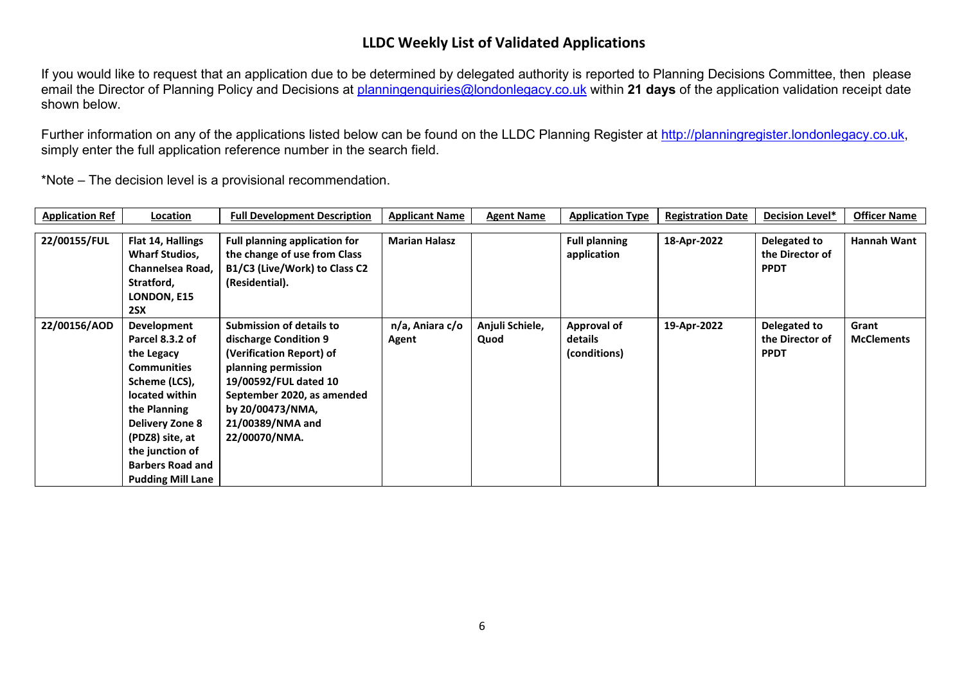If you would like to request that an application due to be determined by delegated authority is reported to Planning Decisions Committee, then please email the Director of Planning Policy and Decisions at [planningenquiries@londonlegacy.co.uk](mailto:planningenquiries@londonlegacy.co.uk) within **21 days** of the application validation receipt date shown below.

Further information on any of the applications listed below can be found on the LLDC Planning Register at [http://planningregister.londonlegacy.co.uk,](http://planningregister.londonlegacy.co.uk/) simply enter the full application reference number in the search field.

| <b>Application Ref</b> | Location                 | <b>Full Development Description</b>  | <b>Applicant Name</b> | <b>Agent Name</b> | <b>Application Type</b> | <b>Registration Date</b> | Decision Level* | <b>Officer Name</b> |
|------------------------|--------------------------|--------------------------------------|-----------------------|-------------------|-------------------------|--------------------------|-----------------|---------------------|
| 22/00155/FUL           | Flat 14, Hallings        | <b>Full planning application for</b> | <b>Marian Halasz</b>  |                   | <b>Full planning</b>    | 18-Apr-2022              | Delegated to    | Hannah Want         |
|                        | <b>Wharf Studios,</b>    | the change of use from Class         |                       |                   | application             |                          | the Director of |                     |
|                        | Channelsea Road,         | B1/C3 (Live/Work) to Class C2        |                       |                   |                         |                          | <b>PPDT</b>     |                     |
|                        | Stratford,               | (Residential).                       |                       |                   |                         |                          |                 |                     |
|                        | LONDON, E15              |                                      |                       |                   |                         |                          |                 |                     |
|                        | 2SX                      |                                      |                       |                   |                         |                          |                 |                     |
| 22/00156/AOD           | Development              | <b>Submission of details to</b>      | n/a, Aniara c/o       | Anjuli Schiele,   | Approval of             | 19-Apr-2022              | Delegated to    | Grant               |
|                        | Parcel 8.3.2 of          | discharge Condition 9                | Agent                 | Quod              | details                 |                          | the Director of | <b>McClements</b>   |
|                        | the Legacy               | (Verification Report) of             |                       |                   | (conditions)            |                          | <b>PPDT</b>     |                     |
|                        | <b>Communities</b>       | planning permission                  |                       |                   |                         |                          |                 |                     |
|                        | Scheme (LCS),            | 19/00592/FUL dated 10                |                       |                   |                         |                          |                 |                     |
|                        | located within           | September 2020, as amended           |                       |                   |                         |                          |                 |                     |
|                        | the Planning             | by 20/00473/NMA,                     |                       |                   |                         |                          |                 |                     |
|                        | <b>Delivery Zone 8</b>   | 21/00389/NMA and                     |                       |                   |                         |                          |                 |                     |
|                        | (PDZ8) site, at          | 22/00070/NMA.                        |                       |                   |                         |                          |                 |                     |
|                        | the junction of          |                                      |                       |                   |                         |                          |                 |                     |
|                        | <b>Barbers Road and</b>  |                                      |                       |                   |                         |                          |                 |                     |
|                        | <b>Pudding Mill Lane</b> |                                      |                       |                   |                         |                          |                 |                     |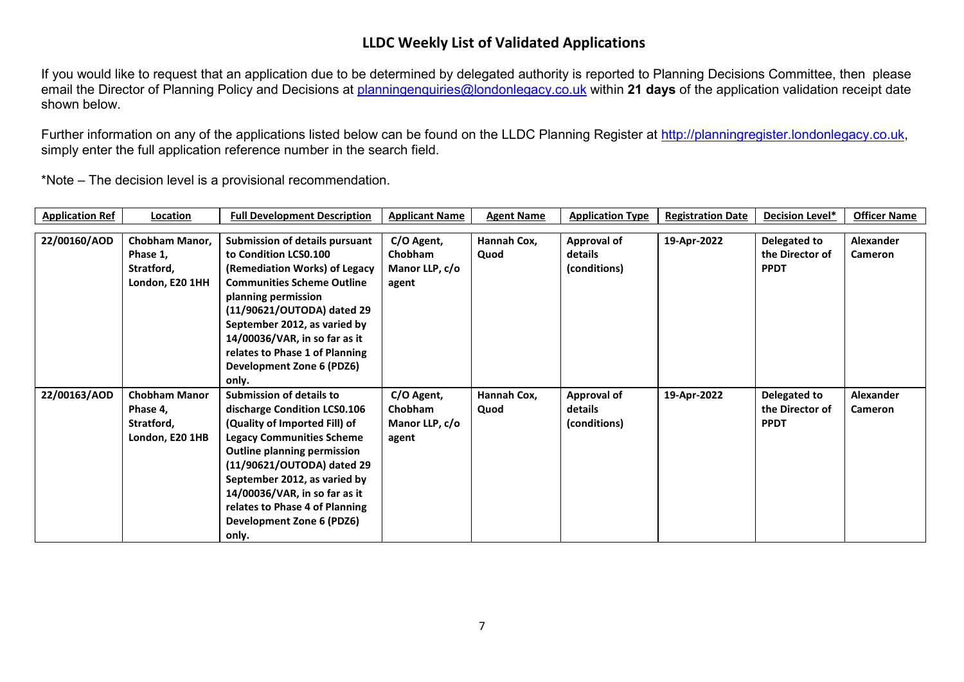If you would like to request that an application due to be determined by delegated authority is reported to Planning Decisions Committee, then please email the Director of Planning Policy and Decisions at [planningenquiries@londonlegacy.co.uk](mailto:planningenquiries@londonlegacy.co.uk) within **21 days** of the application validation receipt date shown below.

Further information on any of the applications listed below can be found on the LLDC Planning Register at [http://planningregister.londonlegacy.co.uk,](http://planningregister.londonlegacy.co.uk/) simply enter the full application reference number in the search field.

| <b>Application Ref</b> | Location                                                          | <b>Full Development Description</b>                                                                                                                                                                                                                                                                                                               | <b>Applicant Name</b>                            | <b>Agent Name</b>   | <b>Application Type</b>                       | <b>Registration Date</b> | Decision Level*                                | <b>Officer Name</b>                |
|------------------------|-------------------------------------------------------------------|---------------------------------------------------------------------------------------------------------------------------------------------------------------------------------------------------------------------------------------------------------------------------------------------------------------------------------------------------|--------------------------------------------------|---------------------|-----------------------------------------------|--------------------------|------------------------------------------------|------------------------------------|
| 22/00160/AOD           | Chobham Manor,<br>Phase 1,<br>Stratford,<br>London, E20 1HH       | Submission of details pursuant<br>to Condition LCS0.100<br>(Remediation Works) of Legacy<br><b>Communities Scheme Outline</b><br>planning permission<br>(11/90621/OUTODA) dated 29<br>September 2012, as varied by<br>14/00036/VAR, in so far as it<br>relates to Phase 1 of Planning<br>Development Zone 6 (PDZ6)<br>only.                       | C/O Agent,<br>Chobham<br>Manor LLP, c/o<br>agent | Hannah Cox,<br>Quod | <b>Approval of</b><br>details<br>(conditions) | 19-Apr-2022              | Delegated to<br>the Director of<br><b>PPDT</b> | Alexander<br>Cameron               |
| 22/00163/AOD           | <b>Chobham Manor</b><br>Phase 4,<br>Stratford,<br>London, E20 1HB | <b>Submission of details to</b><br>discharge Condition LCS0.106<br>(Quality of Imported Fill) of<br><b>Legacy Communities Scheme</b><br><b>Outline planning permission</b><br>(11/90621/OUTODA) dated 29<br>September 2012, as varied by<br>14/00036/VAR, in so far as it<br>relates to Phase 4 of Planning<br>Development Zone 6 (PDZ6)<br>only. | C/O Agent,<br>Chobham<br>Manor LLP, c/o<br>agent | Hannah Cox,<br>Quod | Approval of<br>details<br>(conditions)        | 19-Apr-2022              | Delegated to<br>the Director of<br><b>PPDT</b> | <b>Alexander</b><br><b>Cameron</b> |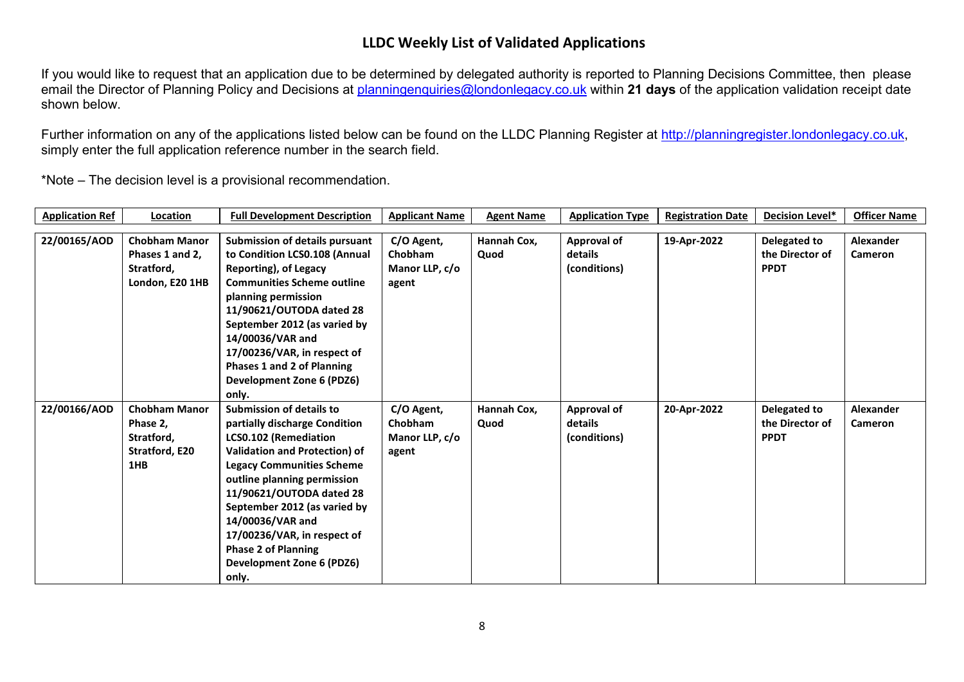If you would like to request that an application due to be determined by delegated authority is reported to Planning Decisions Committee, then please email the Director of Planning Policy and Decisions at [planningenquiries@londonlegacy.co.uk](mailto:planningenquiries@londonlegacy.co.uk) within **21 days** of the application validation receipt date shown below.

Further information on any of the applications listed below can be found on the LLDC Planning Register at [http://planningregister.londonlegacy.co.uk,](http://planningregister.londonlegacy.co.uk/) simply enter the full application reference number in the search field.

| <b>Application Ref</b> | Location             | <b>Full Development Description</b>   | <b>Applicant Name</b> | <b>Agent Name</b> | <b>Application Type</b> | <b>Registration Date</b> | <b>Decision Level*</b> | <b>Officer Name</b> |
|------------------------|----------------------|---------------------------------------|-----------------------|-------------------|-------------------------|--------------------------|------------------------|---------------------|
|                        |                      |                                       |                       |                   |                         |                          |                        |                     |
| 22/00165/AOD           | <b>Chobham Manor</b> | <b>Submission of details pursuant</b> | C/O Agent,            | Hannah Cox,       | Approval of             | 19-Apr-2022              | Delegated to           | <b>Alexander</b>    |
|                        | Phases 1 and 2,      | to Condition LCS0.108 (Annual         | <b>Chobham</b>        | Quod              | details                 |                          | the Director of        | <b>Cameron</b>      |
|                        | Stratford,           | Reporting), of Legacy                 | Manor LLP, c/o        |                   | (conditions)            |                          | <b>PPDT</b>            |                     |
|                        | London, E20 1HB      | <b>Communities Scheme outline</b>     | agent                 |                   |                         |                          |                        |                     |
|                        |                      | planning permission                   |                       |                   |                         |                          |                        |                     |
|                        |                      | 11/90621/OUTODA dated 28              |                       |                   |                         |                          |                        |                     |
|                        |                      | September 2012 (as varied by          |                       |                   |                         |                          |                        |                     |
|                        |                      | 14/00036/VAR and                      |                       |                   |                         |                          |                        |                     |
|                        |                      | 17/00236/VAR, in respect of           |                       |                   |                         |                          |                        |                     |
|                        |                      | <b>Phases 1 and 2 of Planning</b>     |                       |                   |                         |                          |                        |                     |
|                        |                      | <b>Development Zone 6 (PDZ6)</b>      |                       |                   |                         |                          |                        |                     |
|                        |                      | only.                                 |                       |                   |                         |                          |                        |                     |
| 22/00166/AOD           | <b>Chobham Manor</b> | <b>Submission of details to</b>       | C/O Agent,            | Hannah Cox,       | <b>Approval of</b>      | 20-Apr-2022              | Delegated to           | <b>Alexander</b>    |
|                        | Phase 2,             | partially discharge Condition         | Chobham               | Quod              | details                 |                          | the Director of        | <b>Cameron</b>      |
|                        | Stratford,           | LCS0.102 (Remediation                 | Manor LLP, c/o        |                   | (conditions)            |                          | <b>PPDT</b>            |                     |
|                        | Stratford, E20       | <b>Validation and Protection) of</b>  | agent                 |                   |                         |                          |                        |                     |
|                        | 1HB                  | <b>Legacy Communities Scheme</b>      |                       |                   |                         |                          |                        |                     |
|                        |                      | outline planning permission           |                       |                   |                         |                          |                        |                     |
|                        |                      | 11/90621/OUTODA dated 28              |                       |                   |                         |                          |                        |                     |
|                        |                      | September 2012 (as varied by          |                       |                   |                         |                          |                        |                     |
|                        |                      | 14/00036/VAR and                      |                       |                   |                         |                          |                        |                     |
|                        |                      | 17/00236/VAR, in respect of           |                       |                   |                         |                          |                        |                     |
|                        |                      | <b>Phase 2 of Planning</b>            |                       |                   |                         |                          |                        |                     |
|                        |                      | Development Zone 6 (PDZ6)             |                       |                   |                         |                          |                        |                     |
|                        |                      | only.                                 |                       |                   |                         |                          |                        |                     |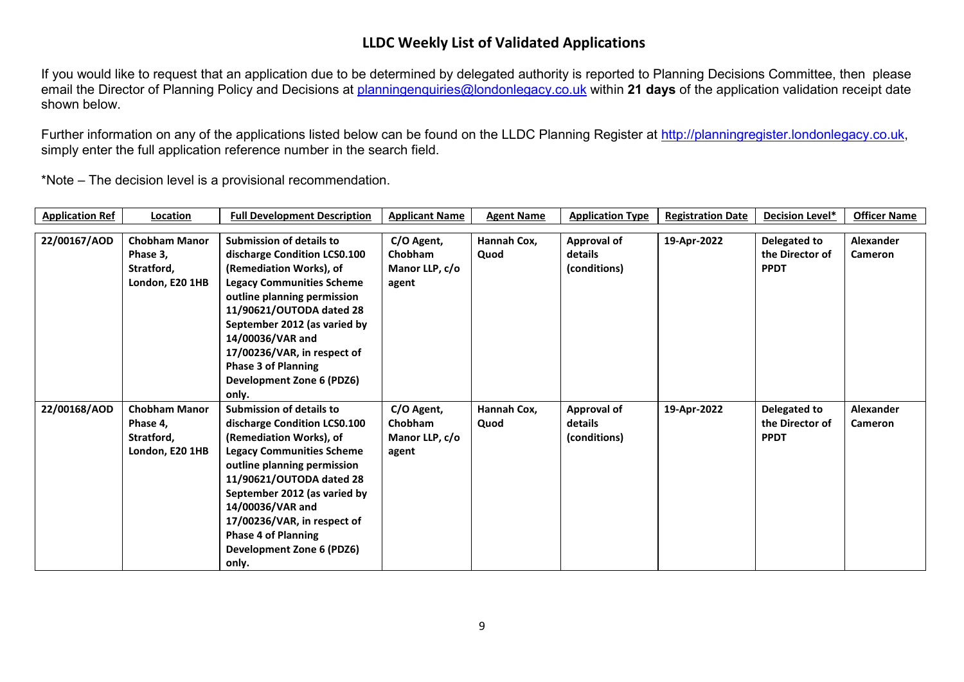If you would like to request that an application due to be determined by delegated authority is reported to Planning Decisions Committee, then please email the Director of Planning Policy and Decisions at [planningenquiries@londonlegacy.co.uk](mailto:planningenquiries@londonlegacy.co.uk) within **21 days** of the application validation receipt date shown below.

Further information on any of the applications listed below can be found on the LLDC Planning Register at [http://planningregister.londonlegacy.co.uk,](http://planningregister.londonlegacy.co.uk/) simply enter the full application reference number in the search field.

| <b>Application Ref</b> | Location                                                          | <b>Full Development Description</b>                                                                                                                                                                                                                                                                                                              | <b>Applicant Name</b>                            | <b>Agent Name</b>   | <b>Application Type</b>                       | <b>Registration Date</b> | <b>Decision Level*</b>                         | <b>Officer Name</b>                |
|------------------------|-------------------------------------------------------------------|--------------------------------------------------------------------------------------------------------------------------------------------------------------------------------------------------------------------------------------------------------------------------------------------------------------------------------------------------|--------------------------------------------------|---------------------|-----------------------------------------------|--------------------------|------------------------------------------------|------------------------------------|
| 22/00167/AOD           | <b>Chobham Manor</b><br>Phase 3,<br>Stratford,                    | <b>Submission of details to</b><br>discharge Condition LCS0.100<br>(Remediation Works), of                                                                                                                                                                                                                                                       | C/O Agent,<br><b>Chobham</b><br>Manor LLP, c/o   | Hannah Cox,<br>Quod | <b>Approval of</b><br>details<br>(conditions) | 19-Apr-2022              | Delegated to<br>the Director of<br><b>PPDT</b> | <b>Alexander</b><br><b>Cameron</b> |
|                        | London, E20 1HB                                                   | <b>Legacy Communities Scheme</b><br>outline planning permission<br>11/90621/OUTODA dated 28<br>September 2012 (as varied by<br>14/00036/VAR and<br>17/00236/VAR, in respect of<br><b>Phase 3 of Planning</b><br><b>Development Zone 6 (PDZ6)</b><br>only.                                                                                        | agent                                            |                     |                                               |                          |                                                |                                    |
| 22/00168/AOD           | <b>Chobham Manor</b><br>Phase 4,<br>Stratford,<br>London, E20 1HB | <b>Submission of details to</b><br>discharge Condition LCS0.100<br>(Remediation Works), of<br><b>Legacy Communities Scheme</b><br>outline planning permission<br>11/90621/OUTODA dated 28<br>September 2012 (as varied by<br>14/00036/VAR and<br>17/00236/VAR, in respect of<br><b>Phase 4 of Planning</b><br>Development Zone 6 (PDZ6)<br>only. | C/O Agent,<br>Chobham<br>Manor LLP, c/o<br>agent | Hannah Cox,<br>Quod | <b>Approval of</b><br>details<br>(conditions) | 19-Apr-2022              | Delegated to<br>the Director of<br><b>PPDT</b> | <b>Alexander</b><br><b>Cameron</b> |